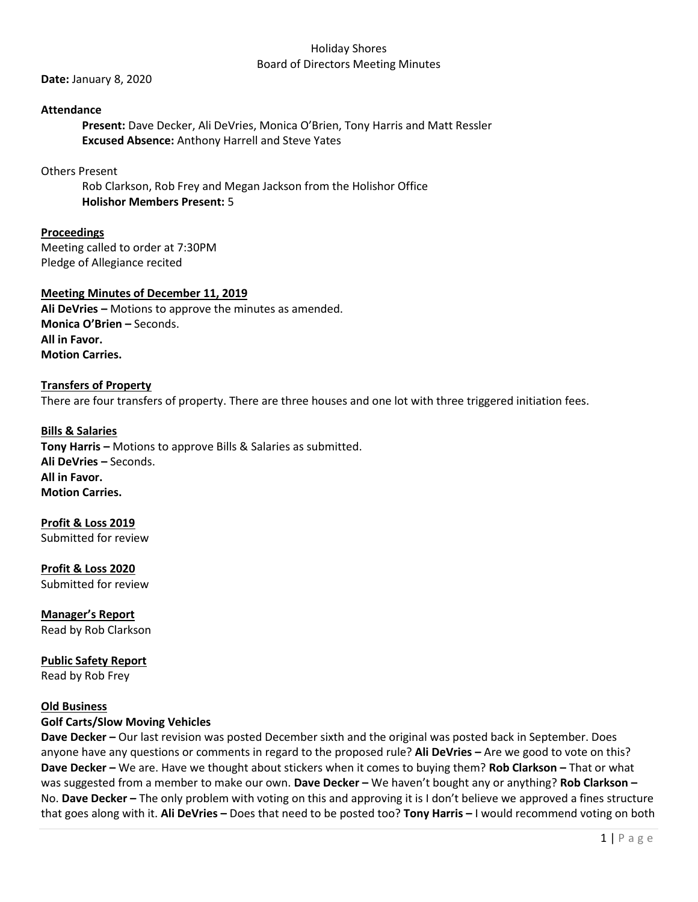#### Holiday Shores Board of Directors Meeting Minutes

**Date:** January 8, 2020

# **Attendance**

**Present:** Dave Decker, Ali DeVries, Monica O'Brien, Tony Harris and Matt Ressler **Excused Absence:** Anthony Harrell and Steve Yates

# Others Present

Rob Clarkson, Rob Frey and Megan Jackson from the Holishor Office **Holishor Members Present:** 5

**Proceedings** Meeting called to order at 7:30PM Pledge of Allegiance recited

# **Meeting Minutes of December 11, 2019**

**Ali DeVries –** Motions to approve the minutes as amended. **Monica O'Brien –** Seconds. **All in Favor. Motion Carries.**

#### **Transfers of Property**

There are four transfers of property. There are three houses and one lot with three triggered initiation fees.

**Bills & Salaries Tony Harris –** Motions to approve Bills & Salaries as submitted. **Ali DeVries –** Seconds. **All in Favor. Motion Carries.**

**Profit & Loss 2019** Submitted for review

**Profit & Loss 2020** Submitted for review

**Manager's Report** Read by Rob Clarkson

**Public Safety Report** Read by Rob Frey

#### **Old Business**

# **Golf Carts/Slow Moving Vehicles**

**Dave Decker –** Our last revision was posted December sixth and the original was posted back in September. Does anyone have any questions or comments in regard to the proposed rule? **Ali DeVries –** Are we good to vote on this? **Dave Decker –** We are. Have we thought about stickers when it comes to buying them? **Rob Clarkson –** That or what was suggested from a member to make our own. **Dave Decker –** We haven't bought any or anything? **Rob Clarkson –** No. **Dave Decker –** The only problem with voting on this and approving it is I don't believe we approved a fines structure that goes along with it. **Ali DeVries –** Does that need to be posted too? **Tony Harris –** I would recommend voting on both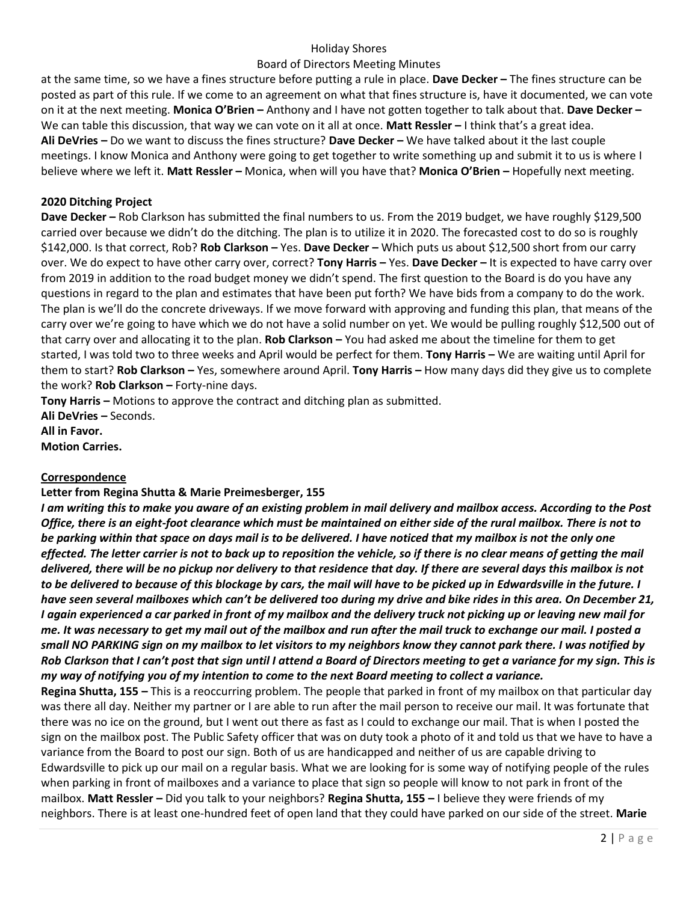# Holiday Shores

# Board of Directors Meeting Minutes

at the same time, so we have a fines structure before putting a rule in place. **Dave Decker –** The fines structure can be posted as part of this rule. If we come to an agreement on what that fines structure is, have it documented, we can vote on it at the next meeting. **Monica O'Brien –** Anthony and I have not gotten together to talk about that. **Dave Decker –** We can table this discussion, that way we can vote on it all at once. **Matt Ressler –** I think that's a great idea. **Ali DeVries –** Do we want to discuss the fines structure? **Dave Decker –** We have talked about it the last couple meetings. I know Monica and Anthony were going to get together to write something up and submit it to us is where I believe where we left it. **Matt Ressler –** Monica, when will you have that? **Monica O'Brien –** Hopefully next meeting.

# **2020 Ditching Project**

**Dave Decker –** Rob Clarkson has submitted the final numbers to us. From the 2019 budget, we have roughly \$129,500 carried over because we didn't do the ditching. The plan is to utilize it in 2020. The forecasted cost to do so is roughly \$142,000. Is that correct, Rob? **Rob Clarkson –** Yes. **Dave Decker –** Which puts us about \$12,500 short from our carry over. We do expect to have other carry over, correct? **Tony Harris –** Yes. **Dave Decker –** It is expected to have carry over from 2019 in addition to the road budget money we didn't spend. The first question to the Board is do you have any questions in regard to the plan and estimates that have been put forth? We have bids from a company to do the work. The plan is we'll do the concrete driveways. If we move forward with approving and funding this plan, that means of the carry over we're going to have which we do not have a solid number on yet. We would be pulling roughly \$12,500 out of that carry over and allocating it to the plan. **Rob Clarkson –** You had asked me about the timeline for them to get started, I was told two to three weeks and April would be perfect for them. **Tony Harris –** We are waiting until April for them to start? **Rob Clarkson –** Yes, somewhere around April. **Tony Harris –** How many days did they give us to complete the work? **Rob Clarkson –** Forty-nine days.

**Tony Harris –** Motions to approve the contract and ditching plan as submitted. **Ali DeVries –** Seconds. **All in Favor.**

**Motion Carries.**

# **Correspondence**

# **Letter from Regina Shutta & Marie Preimesberger, 155**

*I am writing this to make you aware of an existing problem in mail delivery and mailbox access. According to the Post Office, there is an eight-foot clearance which must be maintained on either side of the rural mailbox. There is not to be parking within that space on days mail is to be delivered. I have noticed that my mailbox is not the only one effected. The letter carrier is not to back up to reposition the vehicle, so if there is no clear means of getting the mail delivered, there will be no pickup nor delivery to that residence that day. If there are several days this mailbox is not to be delivered to because of this blockage by cars, the mail will have to be picked up in Edwardsville in the future. I have seen several mailboxes which can't be delivered too during my drive and bike rides in this area. On December 21, I again experienced a car parked in front of my mailbox and the delivery truck not picking up or leaving new mail for me. It was necessary to get my mail out of the mailbox and run after the mail truck to exchange our mail. I posted a small NO PARKING sign on my mailbox to let visitors to my neighbors know they cannot park there. I was notified by Rob Clarkson that I can't post that sign until I attend a Board of Directors meeting to get a variance for my sign. This is my way of notifying you of my intention to come to the next Board meeting to collect a variance.* 

**Regina Shutta, 155 –** This is a reoccurring problem. The people that parked in front of my mailbox on that particular day was there all day. Neither my partner or I are able to run after the mail person to receive our mail. It was fortunate that there was no ice on the ground, but I went out there as fast as I could to exchange our mail. That is when I posted the sign on the mailbox post. The Public Safety officer that was on duty took a photo of it and told us that we have to have a variance from the Board to post our sign. Both of us are handicapped and neither of us are capable driving to Edwardsville to pick up our mail on a regular basis. What we are looking for is some way of notifying people of the rules when parking in front of mailboxes and a variance to place that sign so people will know to not park in front of the mailbox. **Matt Ressler –** Did you talk to your neighbors? **Regina Shutta, 155 –** I believe they were friends of my neighbors. There is at least one-hundred feet of open land that they could have parked on our side of the street. **Marie**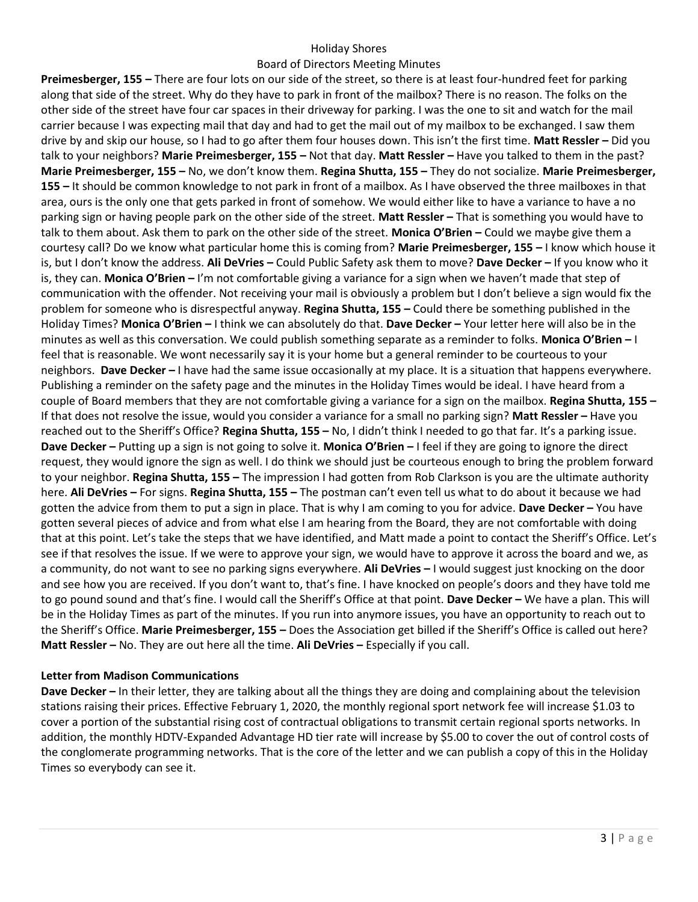# Holiday Shores

# Board of Directors Meeting Minutes

**Preimesberger, 155 –** There are four lots on our side of the street, so there is at least four-hundred feet for parking along that side of the street. Why do they have to park in front of the mailbox? There is no reason. The folks on the other side of the street have four car spaces in their driveway for parking. I was the one to sit and watch for the mail carrier because I was expecting mail that day and had to get the mail out of my mailbox to be exchanged. I saw them drive by and skip our house, so I had to go after them four houses down. This isn't the first time. **Matt Ressler –** Did you talk to your neighbors? **Marie Preimesberger, 155 –** Not that day. **Matt Ressler –** Have you talked to them in the past? **Marie Preimesberger, 155 –** No, we don't know them. **Regina Shutta, 155 –** They do not socialize. **Marie Preimesberger, 155 –** It should be common knowledge to not park in front of a mailbox. As I have observed the three mailboxes in that area, ours is the only one that gets parked in front of somehow. We would either like to have a variance to have a no parking sign or having people park on the other side of the street. **Matt Ressler –** That is something you would have to talk to them about. Ask them to park on the other side of the street. **Monica O'Brien –** Could we maybe give them a courtesy call? Do we know what particular home this is coming from? **Marie Preimesberger, 155 –** I know which house it is, but I don't know the address. **Ali DeVries –** Could Public Safety ask them to move? **Dave Decker –** If you know who it is, they can. **Monica O'Brien –** I'm not comfortable giving a variance for a sign when we haven't made that step of communication with the offender. Not receiving your mail is obviously a problem but I don't believe a sign would fix the problem for someone who is disrespectful anyway. **Regina Shutta, 155 –** Could there be something published in the Holiday Times? **Monica O'Brien –** I think we can absolutely do that. **Dave Decker –** Your letter here will also be in the minutes as well as this conversation. We could publish something separate as a reminder to folks. **Monica O'Brien –** I feel that is reasonable. We wont necessarily say it is your home but a general reminder to be courteous to your neighbors. **Dave Decker –** I have had the same issue occasionally at my place. It is a situation that happens everywhere. Publishing a reminder on the safety page and the minutes in the Holiday Times would be ideal. I have heard from a couple of Board members that they are not comfortable giving a variance for a sign on the mailbox. **Regina Shutta, 155 –** If that does not resolve the issue, would you consider a variance for a small no parking sign? **Matt Ressler –** Have you reached out to the Sheriff's Office? **Regina Shutta, 155 –** No, I didn't think I needed to go that far. It's a parking issue. **Dave Decker –** Putting up a sign is not going to solve it. **Monica O'Brien –** I feel if they are going to ignore the direct request, they would ignore the sign as well. I do think we should just be courteous enough to bring the problem forward to your neighbor. **Regina Shutta, 155 –** The impression I had gotten from Rob Clarkson is you are the ultimate authority here. **Ali DeVries –** For signs. **Regina Shutta, 155 –** The postman can't even tell us what to do about it because we had gotten the advice from them to put a sign in place. That is why I am coming to you for advice. **Dave Decker –** You have gotten several pieces of advice and from what else I am hearing from the Board, they are not comfortable with doing that at this point. Let's take the steps that we have identified, and Matt made a point to contact the Sheriff's Office. Let's see if that resolves the issue. If we were to approve your sign, we would have to approve it across the board and we, as a community, do not want to see no parking signs everywhere. **Ali DeVries –** I would suggest just knocking on the door and see how you are received. If you don't want to, that's fine. I have knocked on people's doors and they have told me to go pound sound and that's fine. I would call the Sheriff's Office at that point. **Dave Decker –** We have a plan. This will be in the Holiday Times as part of the minutes. If you run into anymore issues, you have an opportunity to reach out to the Sheriff's Office. **Marie Preimesberger, 155 –** Does the Association get billed if the Sheriff's Office is called out here? **Matt Ressler –** No. They are out here all the time. **Ali DeVries –** Especially if you call.

# **Letter from Madison Communications**

**Dave Decker –** In their letter, they are talking about all the things they are doing and complaining about the television stations raising their prices. Effective February 1, 2020, the monthly regional sport network fee will increase \$1.03 to cover a portion of the substantial rising cost of contractual obligations to transmit certain regional sports networks. In addition, the monthly HDTV-Expanded Advantage HD tier rate will increase by \$5.00 to cover the out of control costs of the conglomerate programming networks. That is the core of the letter and we can publish a copy of this in the Holiday Times so everybody can see it.